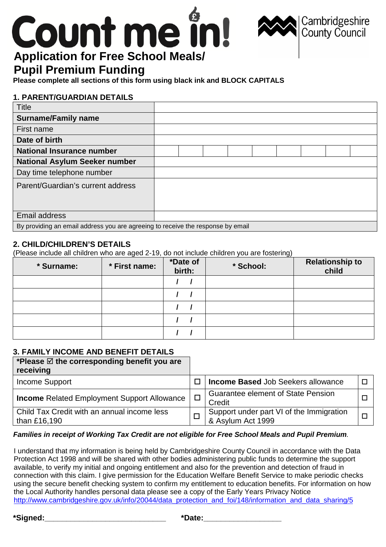# **Application for Free School Meals/**

# **Pupil Premium Funding**

**Please complete all sections of this form using black ink and BLOCK CAPITALS**

# **1. PARENT/GUARDIAN DETAILS**

| <b>Title</b>                                                                    |  |  |  |  |  |  |  |
|---------------------------------------------------------------------------------|--|--|--|--|--|--|--|
| <b>Surname/Family name</b>                                                      |  |  |  |  |  |  |  |
| First name                                                                      |  |  |  |  |  |  |  |
| Date of birth                                                                   |  |  |  |  |  |  |  |
| <b>National Insurance number</b>                                                |  |  |  |  |  |  |  |
| <b>National Asylum Seeker number</b>                                            |  |  |  |  |  |  |  |
| Day time telephone number                                                       |  |  |  |  |  |  |  |
| Parent/Guardian's current address                                               |  |  |  |  |  |  |  |
|                                                                                 |  |  |  |  |  |  |  |
|                                                                                 |  |  |  |  |  |  |  |
| <b>Email address</b>                                                            |  |  |  |  |  |  |  |
| By providing an email address you are agreeing to receive the response by email |  |  |  |  |  |  |  |

Cambridgeshire<br>County Council

# **2. CHILD/CHILDREN'S DETAILS**

(Please include all children who are aged 2-19, do not include children you are fostering)

| * Surname: | * First name: | *Date of<br>birth: | * School: | <b>Relationship to</b><br>child |
|------------|---------------|--------------------|-----------|---------------------------------|
|            |               |                    |           |                                 |
|            |               |                    |           |                                 |
|            |               |                    |           |                                 |
|            |               |                    |           |                                 |
|            |               |                    |           |                                 |

# **3. FAMILY INCOME AND BENEFIT DETAILS**

| *Please $\boxtimes$ the corresponding benefit you are<br>receiving |        |                                                               |  |
|--------------------------------------------------------------------|--------|---------------------------------------------------------------|--|
| Income Support                                                     |        | <b>Income Based Job Seekers allowance</b>                     |  |
| <b>Income Related Employment Support Allowance</b>                 | $\Box$ | <b>Guarantee element of State Pension</b><br>Credit           |  |
| Child Tax Credit with an annual income less<br>than £16,190        |        | Support under part VI of the Immigration<br>& Asylum Act 1999 |  |

#### **Families in receipt of Working Tax Credit are not eligible for Free School Meals and Pupil Premium**.

I understand that my information is being held by Cambridgeshire County Council in accordance with the Data Protection Act 1998 and will be shared with other bodies administering public funds to determine the support available, to verify my initial and ongoing entitlement and also for the prevention and detection of fraud in connection with this claim. I give permission for the Education Welfare Benefit Service to make periodic checks using the secure benefit checking system to confirm my entitlement to education benefits. For information on how the Local Authority handles personal data please see a copy of the Early Years Privacy Notice http://www.cambridgeshire.gov.uk/info/20044/data\_protection\_and\_foi/148/information\_and\_data\_sharing/5